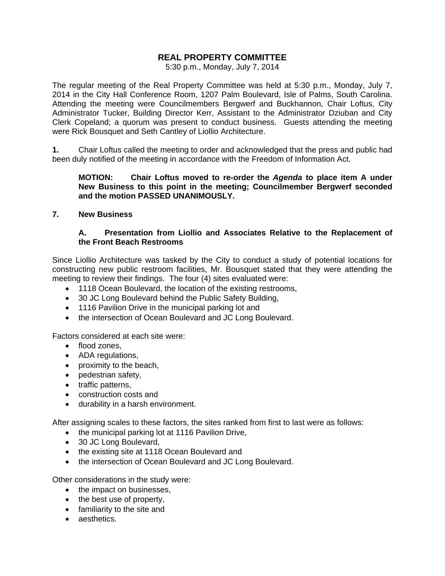# **REAL PROPERTY COMMITTEE**

5:30 p.m., Monday, July 7, 2014

The regular meeting of the Real Property Committee was held at 5:30 p.m., Monday, July 7, 2014 in the City Hall Conference Room, 1207 Palm Boulevard, Isle of Palms, South Carolina. Attending the meeting were Councilmembers Bergwerf and Buckhannon, Chair Loftus, City Administrator Tucker, Building Director Kerr, Assistant to the Administrator Dziuban and City Clerk Copeland; a quorum was present to conduct business. Guests attending the meeting were Rick Bousquet and Seth Cantley of Liollio Architecture.

**1.** Chair Loftus called the meeting to order and acknowledged that the press and public had been duly notified of the meeting in accordance with the Freedom of Information Act.

## **MOTION: Chair Loftus moved to re-order the** *Agenda* **to place item A under New Business to this point in the meeting; Councilmember Bergwerf seconded and the motion PASSED UNANIMOUSLY.**

#### **7. New Business**

## **A. Presentation from Liollio and Associates Relative to the Replacement of the Front Beach Restrooms**

Since Liollio Architecture was tasked by the City to conduct a study of potential locations for constructing new public restroom facilities, Mr. Bousquet stated that they were attending the meeting to review their findings. The four (4) sites evaluated were:

- 1118 Ocean Boulevard, the location of the existing restrooms,
- 30 JC Long Boulevard behind the Public Safety Building,
- 1116 Pavilion Drive in the municipal parking lot and
- the intersection of Ocean Boulevard and JC Long Boulevard.

Factors considered at each site were:

- flood zones,
- ADA regulations,
- proximity to the beach,
- pedestrian safety,
- traffic patterns,
- construction costs and
- durability in a harsh environment.

After assigning scales to these factors, the sites ranked from first to last were as follows:

- the municipal parking lot at 1116 Pavilion Drive,
- 30 JC Long Boulevard,
- the existing site at 1118 Ocean Boulevard and
- the intersection of Ocean Boulevard and JC Long Boulevard.

Other considerations in the study were:

- the impact on businesses,
- the best use of property,
- familiarity to the site and
- aesthetics.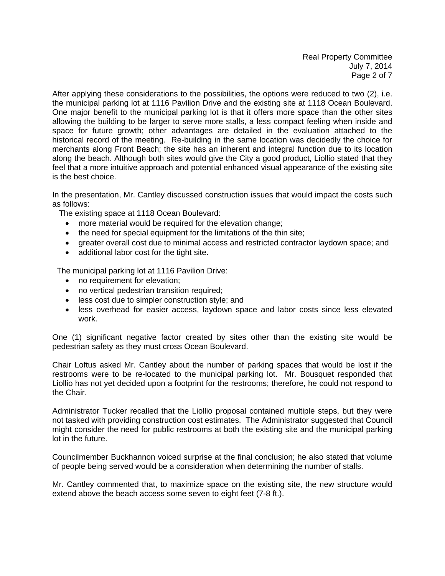Real Property Committee July 7, 2014 Page 2 of 7

After applying these considerations to the possibilities, the options were reduced to two (2), i.e. the municipal parking lot at 1116 Pavilion Drive and the existing site at 1118 Ocean Boulevard. One major benefit to the municipal parking lot is that it offers more space than the other sites allowing the building to be larger to serve more stalls, a less compact feeling when inside and space for future growth; other advantages are detailed in the evaluation attached to the historical record of the meeting. Re-building in the same location was decidedly the choice for merchants along Front Beach; the site has an inherent and integral function due to its location along the beach. Although both sites would give the City a good product, Liollio stated that they feel that a more intuitive approach and potential enhanced visual appearance of the existing site is the best choice.

In the presentation, Mr. Cantley discussed construction issues that would impact the costs such as follows:

The existing space at 1118 Ocean Boulevard:

- more material would be required for the elevation change;
- the need for special equipment for the limitations of the thin site;
- greater overall cost due to minimal access and restricted contractor laydown space; and
- additional labor cost for the tight site.

The municipal parking lot at 1116 Pavilion Drive:

- no requirement for elevation;
- no vertical pedestrian transition required;
- less cost due to simpler construction style; and
- less overhead for easier access, laydown space and labor costs since less elevated work.

One (1) significant negative factor created by sites other than the existing site would be pedestrian safety as they must cross Ocean Boulevard.

Chair Loftus asked Mr. Cantley about the number of parking spaces that would be lost if the restrooms were to be re-located to the municipal parking lot. Mr. Bousquet responded that Liollio has not yet decided upon a footprint for the restrooms; therefore, he could not respond to the Chair.

Administrator Tucker recalled that the Liollio proposal contained multiple steps, but they were not tasked with providing construction cost estimates. The Administrator suggested that Council might consider the need for public restrooms at both the existing site and the municipal parking lot in the future.

Councilmember Buckhannon voiced surprise at the final conclusion; he also stated that volume of people being served would be a consideration when determining the number of stalls.

Mr. Cantley commented that, to maximize space on the existing site, the new structure would extend above the beach access some seven to eight feet (7-8 ft.).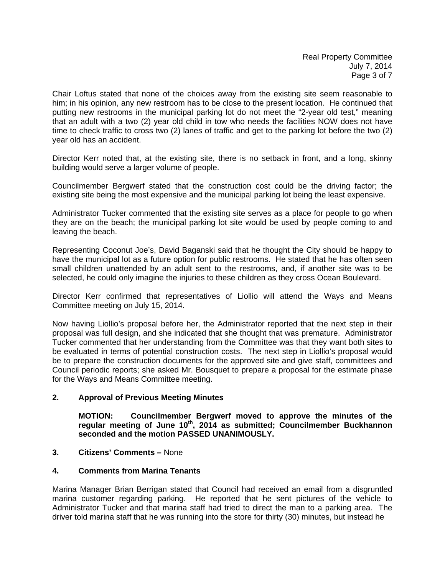Chair Loftus stated that none of the choices away from the existing site seem reasonable to him; in his opinion, any new restroom has to be close to the present location. He continued that putting new restrooms in the municipal parking lot do not meet the "2-year old test," meaning that an adult with a two (2) year old child in tow who needs the facilities NOW does not have time to check traffic to cross two (2) lanes of traffic and get to the parking lot before the two (2) year old has an accident.

Director Kerr noted that, at the existing site, there is no setback in front, and a long, skinny building would serve a larger volume of people.

Councilmember Bergwerf stated that the construction cost could be the driving factor; the existing site being the most expensive and the municipal parking lot being the least expensive.

Administrator Tucker commented that the existing site serves as a place for people to go when they are on the beach; the municipal parking lot site would be used by people coming to and leaving the beach.

Representing Coconut Joe's, David Baganski said that he thought the City should be happy to have the municipal lot as a future option for public restrooms. He stated that he has often seen small children unattended by an adult sent to the restrooms, and, if another site was to be selected, he could only imagine the injuries to these children as they cross Ocean Boulevard.

Director Kerr confirmed that representatives of Liollio will attend the Ways and Means Committee meeting on July 15, 2014.

Now having Liollio's proposal before her, the Administrator reported that the next step in their proposal was full design, and she indicated that she thought that was premature. Administrator Tucker commented that her understanding from the Committee was that they want both sites to be evaluated in terms of potential construction costs. The next step in Liollio's proposal would be to prepare the construction documents for the approved site and give staff, committees and Council periodic reports; she asked Mr. Bousquet to prepare a proposal for the estimate phase for the Ways and Means Committee meeting.

## **2. Approval of Previous Meeting Minutes**

 **MOTION: Councilmember Bergwerf moved to approve the minutes of the**  regular meeting of June 10<sup>th</sup>, 2014 as submitted; Councilmember Buckhannon  **seconded and the motion PASSED UNANIMOUSLY.** 

## **3. Citizens' Comments –** None

#### **4. Comments from Marina Tenants**

Marina Manager Brian Berrigan stated that Council had received an email from a disgruntled marina customer regarding parking. He reported that he sent pictures of the vehicle to Administrator Tucker and that marina staff had tried to direct the man to a parking area. The driver told marina staff that he was running into the store for thirty (30) minutes, but instead he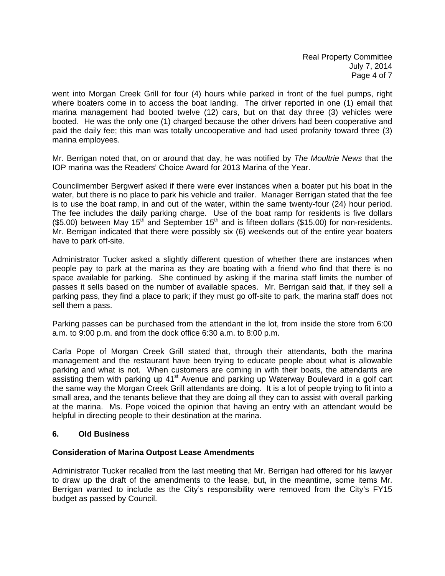went into Morgan Creek Grill for four (4) hours while parked in front of the fuel pumps, right where boaters come in to access the boat landing. The driver reported in one (1) email that marina management had booted twelve (12) cars, but on that day three (3) vehicles were booted. He was the only one (1) charged because the other drivers had been cooperative and paid the daily fee; this man was totally uncooperative and had used profanity toward three (3) marina employees.

Mr. Berrigan noted that, on or around that day, he was notified by *The Moultrie News* that the IOP marina was the Readers' Choice Award for 2013 Marina of the Year.

Councilmember Bergwerf asked if there were ever instances when a boater put his boat in the water, but there is no place to park his vehicle and trailer. Manager Berrigan stated that the fee is to use the boat ramp, in and out of the water, within the same twenty-four (24) hour period. The fee includes the daily parking charge. Use of the boat ramp for residents is five dollars (\$5.00) between May 15<sup>th</sup> and September 15<sup>th</sup> and is fifteen dollars (\$15.00) for non-residents. Mr. Berrigan indicated that there were possibly six (6) weekends out of the entire year boaters have to park off-site.

Administrator Tucker asked a slightly different question of whether there are instances when people pay to park at the marina as they are boating with a friend who find that there is no space available for parking. She continued by asking if the marina staff limits the number of passes it sells based on the number of available spaces. Mr. Berrigan said that, if they sell a parking pass, they find a place to park; if they must go off-site to park, the marina staff does not sell them a pass.

Parking passes can be purchased from the attendant in the lot, from inside the store from 6:00 a.m. to 9:00 p.m. and from the dock office 6:30 a.m. to 8:00 p.m.

Carla Pope of Morgan Creek Grill stated that, through their attendants, both the marina management and the restaurant have been trying to educate people about what is allowable parking and what is not. When customers are coming in with their boats, the attendants are assisting them with parking up 41<sup>st</sup> Avenue and parking up Waterway Boulevard in a golf cart the same way the Morgan Creek Grill attendants are doing. It is a lot of people trying to fit into a small area, and the tenants believe that they are doing all they can to assist with overall parking at the marina. Ms. Pope voiced the opinion that having an entry with an attendant would be helpful in directing people to their destination at the marina.

#### **6. Old Business**

#### **Consideration of Marina Outpost Lease Amendments**

Administrator Tucker recalled from the last meeting that Mr. Berrigan had offered for his lawyer to draw up the draft of the amendments to the lease, but, in the meantime, some items Mr. Berrigan wanted to include as the City's responsibility were removed from the City's FY15 budget as passed by Council.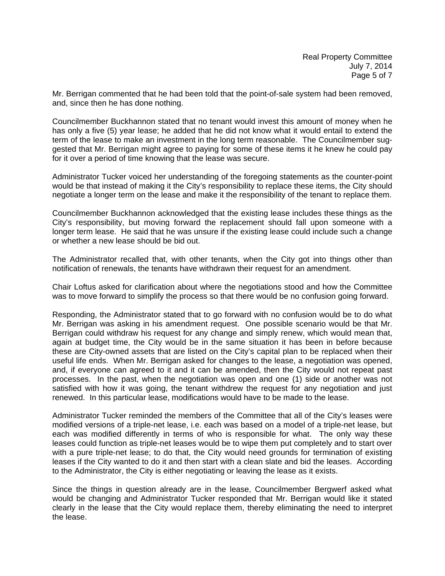Mr. Berrigan commented that he had been told that the point-of-sale system had been removed, and, since then he has done nothing.

Councilmember Buckhannon stated that no tenant would invest this amount of money when he has only a five (5) year lease; he added that he did not know what it would entail to extend the term of the lease to make an investment in the long term reasonable. The Councilmember suggested that Mr. Berrigan might agree to paying for some of these items it he knew he could pay for it over a period of time knowing that the lease was secure.

Administrator Tucker voiced her understanding of the foregoing statements as the counter-point would be that instead of making it the City's responsibility to replace these items, the City should negotiate a longer term on the lease and make it the responsibility of the tenant to replace them.

Councilmember Buckhannon acknowledged that the existing lease includes these things as the City's responsibility, but moving forward the replacement should fall upon someone with a longer term lease. He said that he was unsure if the existing lease could include such a change or whether a new lease should be bid out.

The Administrator recalled that, with other tenants, when the City got into things other than notification of renewals, the tenants have withdrawn their request for an amendment.

Chair Loftus asked for clarification about where the negotiations stood and how the Committee was to move forward to simplify the process so that there would be no confusion going forward.

Responding, the Administrator stated that to go forward with no confusion would be to do what Mr. Berrigan was asking in his amendment request. One possible scenario would be that Mr. Berrigan could withdraw his request for any change and simply renew, which would mean that, again at budget time, the City would be in the same situation it has been in before because these are City-owned assets that are listed on the City's capital plan to be replaced when their useful life ends. When Mr. Berrigan asked for changes to the lease, a negotiation was opened, and, if everyone can agreed to it and it can be amended, then the City would not repeat past processes. In the past, when the negotiation was open and one (1) side or another was not satisfied with how it was going, the tenant withdrew the request for any negotiation and just renewed. In this particular lease, modifications would have to be made to the lease.

Administrator Tucker reminded the members of the Committee that all of the City's leases were modified versions of a triple-net lease, i.e. each was based on a model of a triple-net lease, but each was modified differently in terms of who is responsible for what. The only way these leases could function as triple-net leases would be to wipe them put completely and to start over with a pure triple-net lease; to do that, the City would need grounds for termination of existing leases if the City wanted to do it and then start with a clean slate and bid the leases. According to the Administrator, the City is either negotiating or leaving the lease as it exists.

Since the things in question already are in the lease, Councilmember Bergwerf asked what would be changing and Administrator Tucker responded that Mr. Berrigan would like it stated clearly in the lease that the City would replace them, thereby eliminating the need to interpret the lease.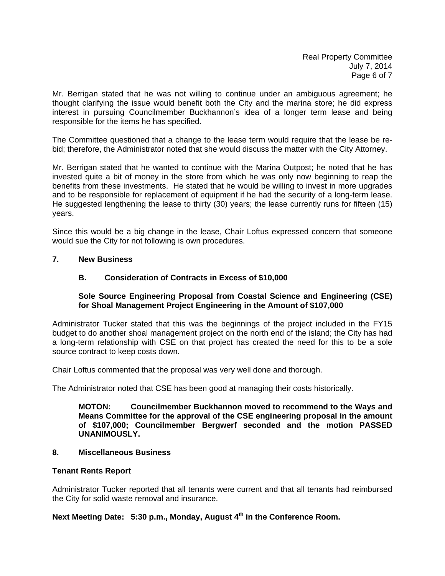Real Property Committee July 7, 2014 Page 6 of 7

Mr. Berrigan stated that he was not willing to continue under an ambiguous agreement; he thought clarifying the issue would benefit both the City and the marina store; he did express interest in pursuing Councilmember Buckhannon's idea of a longer term lease and being responsible for the items he has specified.

The Committee questioned that a change to the lease term would require that the lease be rebid; therefore, the Administrator noted that she would discuss the matter with the City Attorney.

Mr. Berrigan stated that he wanted to continue with the Marina Outpost; he noted that he has invested quite a bit of money in the store from which he was only now beginning to reap the benefits from these investments. He stated that he would be willing to invest in more upgrades and to be responsible for replacement of equipment if he had the security of a long-term lease. He suggested lengthening the lease to thirty (30) years; the lease currently runs for fifteen (15) years.

Since this would be a big change in the lease, Chair Loftus expressed concern that someone would sue the City for not following is own procedures.

#### **7. New Business**

#### **B. Consideration of Contracts in Excess of \$10,000**

## **Sole Source Engineering Proposal from Coastal Science and Engineering (CSE) for Shoal Management Project Engineering in the Amount of \$107,000**

Administrator Tucker stated that this was the beginnings of the project included in the FY15 budget to do another shoal management project on the north end of the island; the City has had a long-term relationship with CSE on that project has created the need for this to be a sole source contract to keep costs down.

Chair Loftus commented that the proposal was very well done and thorough.

The Administrator noted that CSE has been good at managing their costs historically.

**MOTON: Councilmember Buckhannon moved to recommend to the Ways and Means Committee for the approval of the CSE engineering proposal in the amount of \$107,000; Councilmember Bergwerf seconded and the motion PASSED UNANIMOUSLY.** 

## **8. Miscellaneous Business**

#### **Tenant Rents Report**

Administrator Tucker reported that all tenants were current and that all tenants had reimbursed the City for solid waste removal and insurance.

## **Next Meeting Date: 5:30 p.m., Monday, August 4th in the Conference Room.**